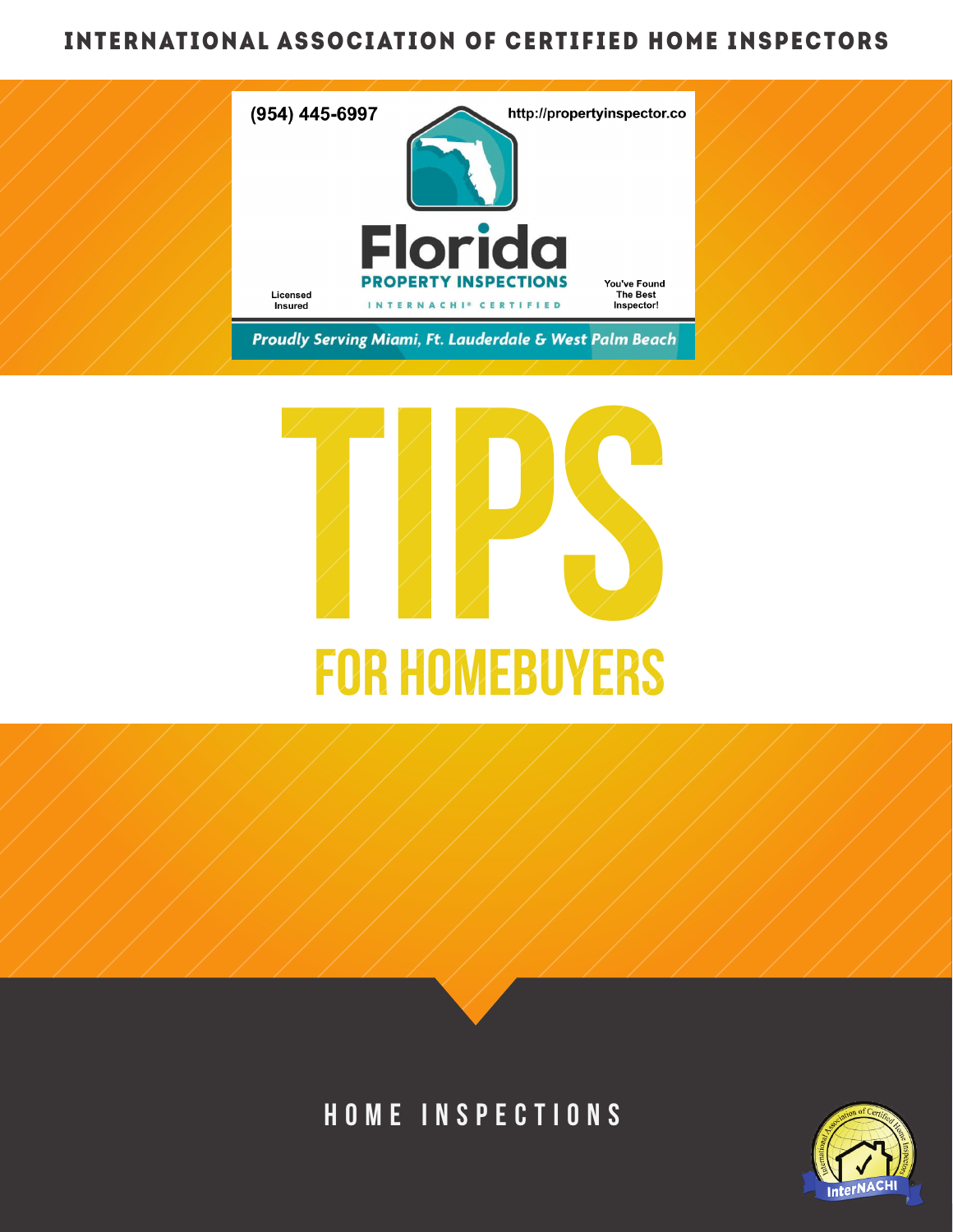# INTERNATIONAL ASSOCIATION OF CERTIFIED HOME INSPECTORS





# HOME INSPECTIONS

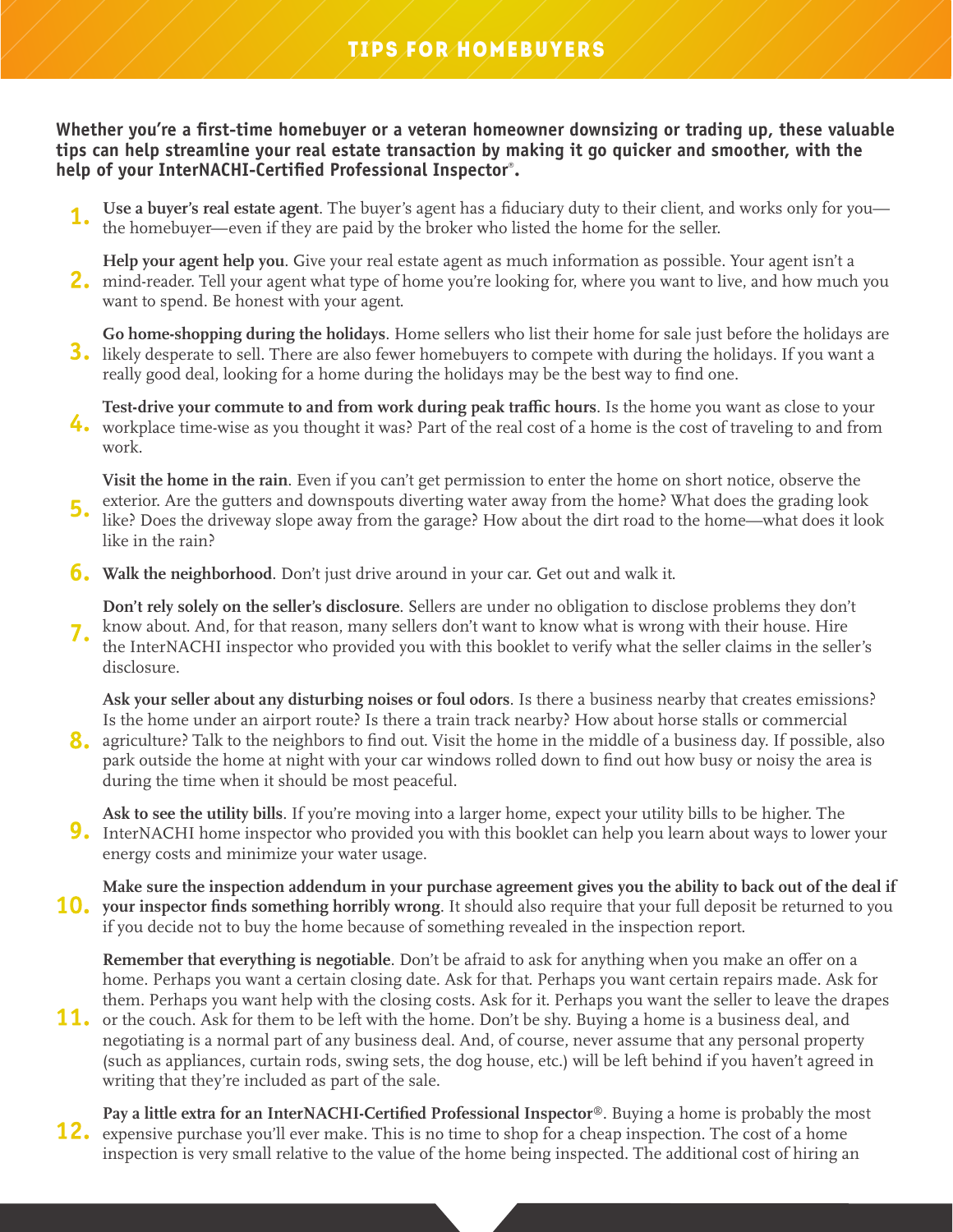**Whether you're a first-time homebuyer or a veteran homeowner downsizing or trading up, these valuable tips can help streamline your real estate transaction by making it go quicker and smoother, with the help of your InterNACHI-Certified Professional Inspector® .**

**Use a buyer's real estate agent**. The buyer's agent has a fiduciary duty to their client, and works only for you the homebuyer—even if they are paid by the broker who listed the home for the seller. **1.** 

**Help your agent help you**. Give your real estate agent as much information as possible. Your agent isn't a mind-reader. Tell your agent what type of home you're looking for, where you want to live, and how much you **2.** want to spend. Be honest with your agent.

**Go home-shopping during the holidays**. Home sellers who list their home for sale just before the holidays are likely desperate to sell. There are also fewer homebuyers to compete with during the holidays. If you want a **3.** really good deal, looking for a home during the holidays may be the best way to find one.

**Test-drive your commute to and from work during peak traffic hours**. Is the home you want as close to your workplace time-wise as you thought it was? Part of the real cost of a home is the cost of traveling to and from **4.** work.

**Visit the home in the rain**. Even if you can't get permission to enter the home on short notice, observe the exterior. Are the gutters and downspouts diverting water away from the home? What does the grading look like? Does the driveway slope away from the garage? How about the dirt road to the home—what does it look like in the rain? **5.**

**Walk the neighborhood**. Don't just drive around in your car. Get out and walk it. **6.**

**Don't rely solely on the seller's disclosure**. Sellers are under no obligation to disclose problems they don't know about. And, for that reason, many sellers don't want to know what is wrong with their house. Hire the InterNACHI inspector who provided you with this booklet to verify what the seller claims in the seller's disclosure. **7.**

**Ask your seller about any disturbing noises or foul odors**. Is there a business nearby that creates emissions? Is the home under an airport route? Is there a train track nearby? How about horse stalls or commercial

agriculture? Talk to the neighbors to find out. Visit the home in the middle of a business day. If possible, also **8.** park outside the home at night with your car windows rolled down to find out how busy or noisy the area is during the time when it should be most peaceful.

**Ask to see the utility bills**. If you're moving into a larger home, expect your utility bills to be higher. The InterNACHI home inspector who provided you with this booklet can help you learn about ways to lower your **9.** energy costs and minimize your water usage.

**Make sure the inspection addendum in your purchase agreement gives you the ability to back out of the deal if**  10. your inspector finds something horribly wrong. It should also require that your full deposit be returned to you if you decide not to buy the home because of something revealed in the inspection report.

**Remember that everything is negotiable**. Don't be afraid to ask for anything when you make an offer on a home. Perhaps you want a certain closing date. Ask for that. Perhaps you want certain repairs made. Ask for them. Perhaps you want help with the closing costs. Ask for it. Perhaps you want the seller to leave the drapes

- 11. or the couch. Ask for them to be left with the home. Don't be shy. Buying a home is a business deal, and negotiating is a normal part of any business deal. And, of course, never assume that any personal property (such as appliances, curtain rods, swing sets, the dog house, etc.) will be left behind if you haven't agreed in writing that they're included as part of the sale.
- **Pay a little extra for an InterNACHI-Certified Professional Inspector®**. Buying a home is probably the most 12. expensive purchase you'll ever make. This is no time to shop for a cheap inspection. The cost of a home inspection is very small relative to the value of the home being inspected. The additional cost of hiring an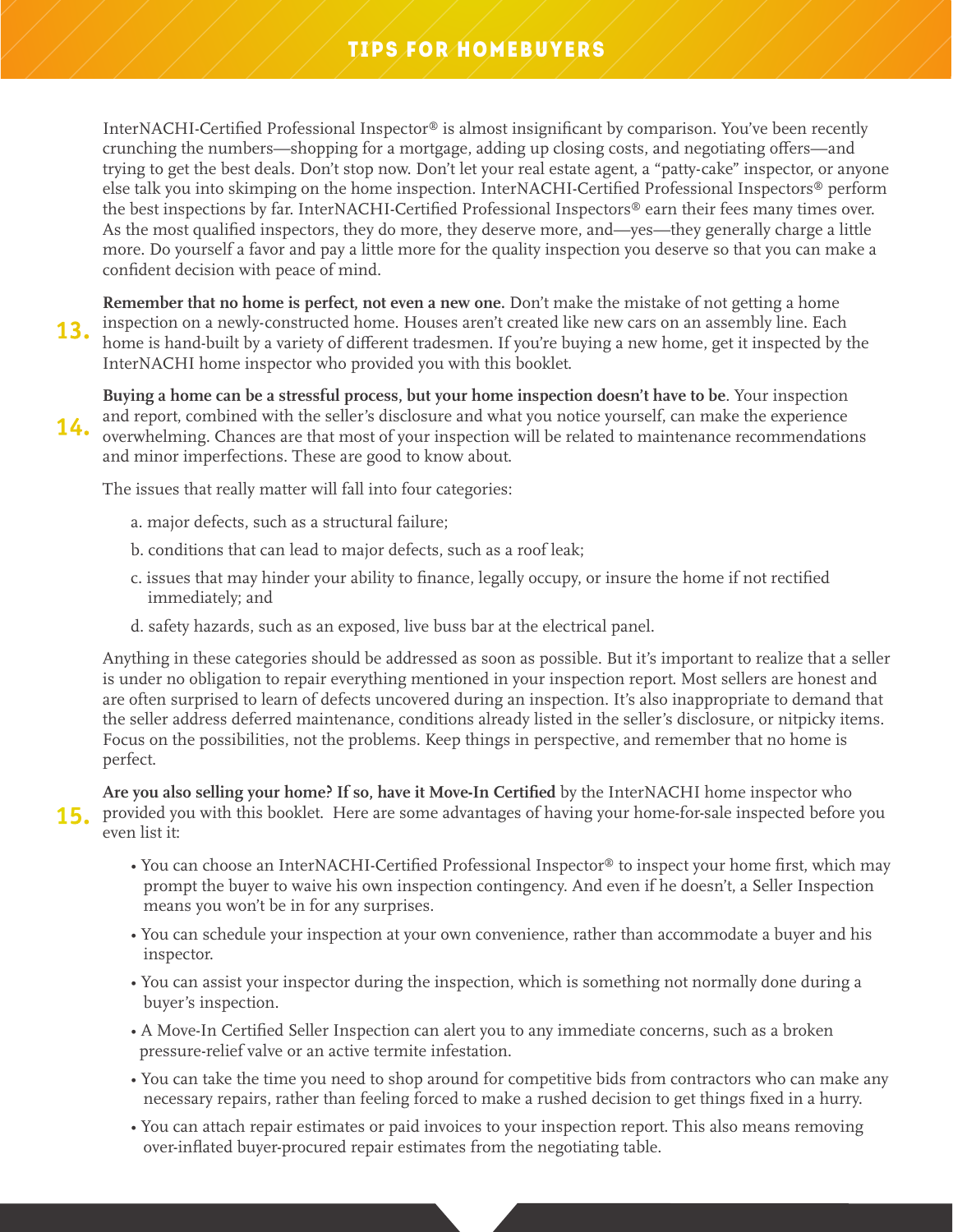### TIPS FOR HOMEBUYERS

InterNACHI-Certified Professional Inspector® is almost insignificant by comparison. You've been recently crunching the numbers—shopping for a mortgage, adding up closing costs, and negotiating offers—and trying to get the best deals. Don't stop now. Don't let your real estate agent, a "patty-cake" inspector, or anyone else talk you into skimping on the home inspection. InterNACHI-Certified Professional Inspectors® perform the best inspections by far. InterNACHI-Certified Professional Inspectors® earn their fees many times over. As the most qualified inspectors, they do more, they deserve more, and—yes—they generally charge a little more. Do yourself a favor and pay a little more for the quality inspection you deserve so that you can make a confident decision with peace of mind.

**Remember that no home is perfect, not even a new one.** Don't make the mistake of not getting a home inspection on a newly-constructed home. Houses aren't created like new cars on an assembly line. Each home is hand-built by a variety of different tradesmen. If you're buying a new home, get it inspected by the InterNACHI home inspector who provided you with this booklet. **13.**

**Buying a home can be a stressful process, but your home inspection doesn't have to be**. Your inspection and report, combined with the seller's disclosure and what you notice yourself, can make the experience **14.** and report, combined with the seller s disclosure and what you houce yourself, can make the experience overwhelming. Chances are that most of your inspection will be related to maintenance recommendations and minor imperfections. These are good to know about.

The issues that really matter will fall into four categories:

- a. major defects, such as a structural failure;
- b. conditions that can lead to major defects, such as a roof leak;
- c. issues that may hinder your ability to finance, legally occupy, or insure the home if not rectified immediately; and
- d. safety hazards, such as an exposed, live buss bar at the electrical panel.

Anything in these categories should be addressed as soon as possible. But it's important to realize that a seller is under no obligation to repair everything mentioned in your inspection report. Most sellers are honest and are often surprised to learn of defects uncovered during an inspection. It's also inappropriate to demand that the seller address deferred maintenance, conditions already listed in the seller's disclosure, or nitpicky items. Focus on the possibilities, not the problems. Keep things in perspective, and remember that no home is perfect.

**Are you also selling your home? If so, have it Move-In Certified** by the InterNACHI home inspector who 15. provided you with this booklet. Here are some advantages of having your home-for-sale inspected before you even list it:

- You can choose an InterNACHI-Certified Professional Inspector® to inspect your home first, which may prompt the buyer to waive his own inspection contingency. And even if he doesn't, a Seller Inspection means you won't be in for any surprises.
- You can schedule your inspection at your own convenience, rather than accommodate a buyer and his inspector.
- You can assist your inspector during the inspection, which is something not normally done during a buyer's inspection.
- A Move-In Certified Seller Inspection can alert you to any immediate concerns, such as a broken pressure-relief valve or an active termite infestation.
- You can take the time you need to shop around for competitive bids from contractors who can make any necessary repairs, rather than feeling forced to make a rushed decision to get things fixed in a hurry.
- You can attach repair estimates or paid invoices to your inspection report. This also means removing over-inflated buyer-procured repair estimates from the negotiating table.